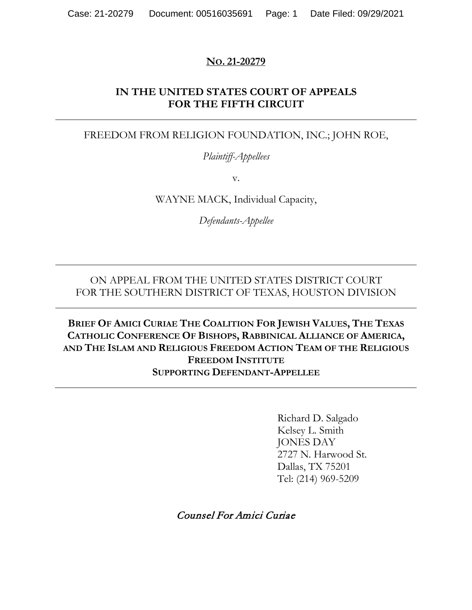## **NO. 21-20279**

# **IN THE UNITED STATES COURT OF APPEALS FOR THE FIFTH CIRCUIT**

# FREEDOM FROM RELIGION FOUNDATION, INC.; JOHN ROE,

*Plaintiff-Appellees*

v.

WAYNE MACK, Individual Capacity,

*Defendants-Appellee*

# ON APPEAL FROM THE UNITED STATES DISTRICT COURT FOR THE SOUTHERN DISTRICT OF TEXAS, HOUSTON DIVISION

**BRIEF OF AMICI CURIAE THE COALITION FOR JEWISH VALUES, THE TEXAS CATHOLIC CONFERENCE OF BISHOPS, RABBINICAL ALLIANCE OF AMERICA, AND THE ISLAM AND RELIGIOUS FREEDOM ACTION TEAM OF THE RELIGIOUS FREEDOM INSTITUTE SUPPORTING DEFENDANT-APPELLEE**

> Richard D. Salgado Kelsey L. Smith JONES DAY 2727 N. Harwood St. Dallas, TX 75201 Tel: (214) 969-5209

Counsel For Amici Curiae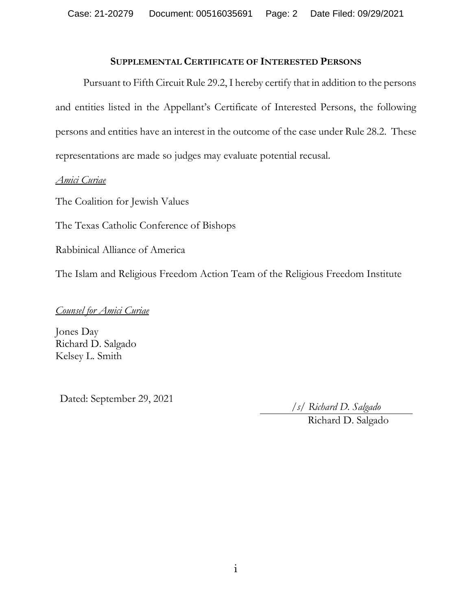#### **SUPPLEMENTAL CERTIFICATE OF INTERESTED PERSONS**

Pursuant to Fifth Circuit Rule 29.2, I hereby certify that in addition to the persons and entities listed in the Appellant's Certificate of Interested Persons, the following persons and entities have an interest in the outcome of the case under Rule 28.2. These representations are made so judges may evaluate potential recusal.

*Amici Curiae*

The Coalition for Jewish Values

The Texas Catholic Conference of Bishops

Rabbinical Alliance of America

The Islam and Religious Freedom Action Team of the Religious Freedom Institute

# *Counsel for Amici Curiae*

Jones Day Richard D. Salgado Kelsey L. Smith

Dated: September 29, 2021 */s/ Richard D. Salgado*

Richard D. Salgado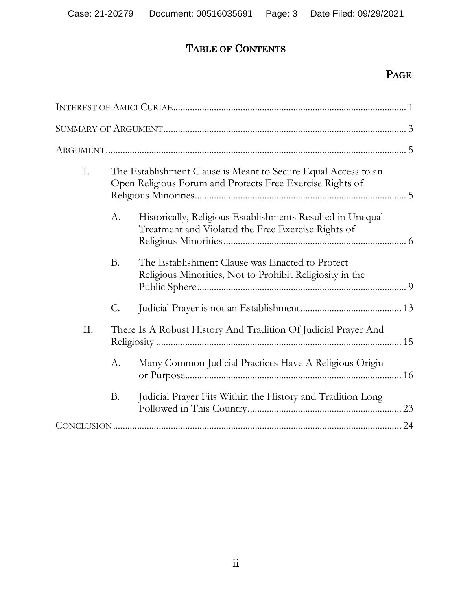# TABLE OF CONTENTS

# PAGE

| I.  |                 | The Establishment Clause is Meant to Secure Equal Access to an<br>Open Religious Forum and Protects Free Exercise Rights of |  |
|-----|-----------------|-----------------------------------------------------------------------------------------------------------------------------|--|
|     | $A$ .           | Historically, Religious Establishments Resulted in Unequal<br>Treatment and Violated the Free Exercise Rights of            |  |
|     | <b>B.</b>       | The Establishment Clause was Enacted to Protect<br>Religious Minorities, Not to Prohibit Religiosity in the                 |  |
|     | $\mathcal{C}$ . |                                                                                                                             |  |
| II. |                 | There Is A Robust History And Tradition Of Judicial Prayer And                                                              |  |
|     | А.              | Many Common Judicial Practices Have A Religious Origin                                                                      |  |
|     | <b>B.</b>       | Judicial Prayer Fits Within the History and Tradition Long                                                                  |  |
|     |                 |                                                                                                                             |  |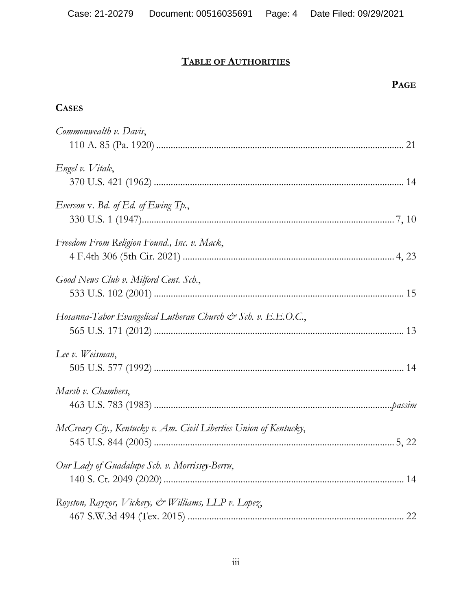# **TABLE OF AUTHORITIES**

|                                                                   | <b>PAGE</b> |
|-------------------------------------------------------------------|-------------|
| <b>CASES</b>                                                      |             |
| Commonwealth v. Davis,                                            |             |
| Engel v. Vitale,                                                  |             |
| Everson v. Bd. of Ed. of Ewing Tp.,                               |             |
| Freedom From Religion Found., Inc. v. Mack,                       |             |
| Good News Club v. Milford Cent. Sch.,                             |             |
| Hosanna-Tabor Evangelical Lutheran Church & Sch. v. E.E.O.C.,     |             |
| Lee v. Weisman,                                                   |             |
| Marsh v. Chambers,                                                |             |
| McCreary Cty., Kentucky v. Am. Civil Liberties Union of Kentucky, |             |
| Our Lady of Guadalupe Sch. v. Morrissey-Berru,                    |             |
| Royston, Rayzor, Vickery, & Williams, LLP v. Lopez,               |             |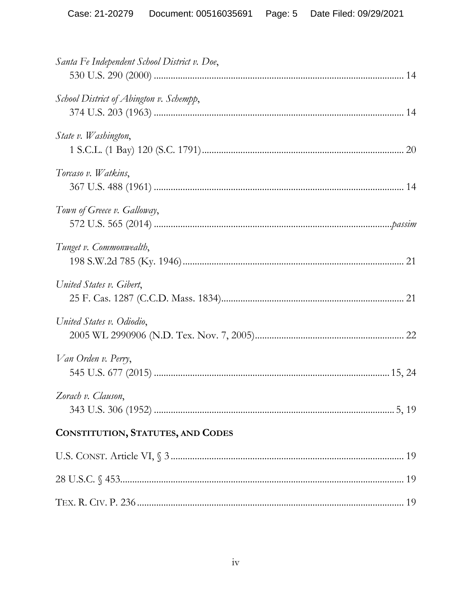| Santa Fe Independent School District v. Doe, |
|----------------------------------------------|
|                                              |
| School District of Abington v. Schempp,      |
| State v. Washington,                         |
| Torcaso v. Watkins,                          |
| Town of Greece v. Galloway,                  |
| Tunget v. Commonwealth,                      |
| United States v. Gibert,                     |
| United States v. Odiodio,                    |
| Van Orden v. Perry,                          |
| Zorach v. Clauson,                           |
| <b>CONSTITUTION, STATUTES, AND CODES</b>     |
|                                              |
|                                              |
|                                              |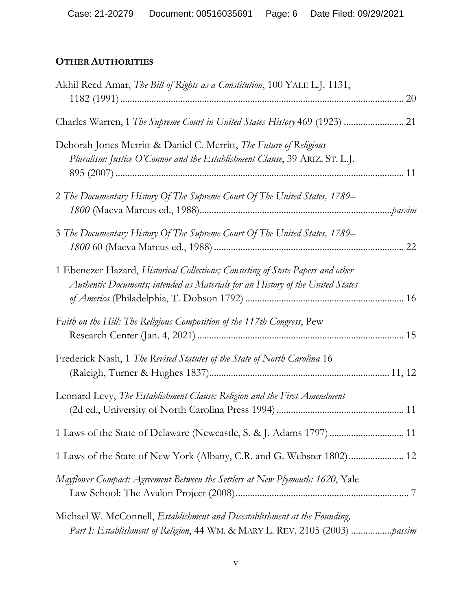# **OTHER AUTHORITIES**

| Akhil Reed Amar, The Bill of Rights as a Constitution, 100 YALE L.J. 1131,                                                                                        |  |
|-------------------------------------------------------------------------------------------------------------------------------------------------------------------|--|
| Charles Warren, 1 The Supreme Court in United States History 469 (1923)  21                                                                                       |  |
| Deborah Jones Merritt & Daniel C. Merritt, The Future of Religious<br>Pluralism: Justice O'Connor and the Establishment Clause, 39 ARIZ. ST. L.J.                 |  |
| 2 The Documentary History Of The Supreme Court Of The United States, 1789–                                                                                        |  |
| 3 The Documentary History Of The Supreme Court Of The United States, 1789–                                                                                        |  |
| 1 Ebenezer Hazard, Historical Collections; Consisting of State Papers and other<br>Authentic Documents; intended as Materials for an History of the United States |  |
| Faith on the Hill: The Religious Composition of the 117th Congress, Pew                                                                                           |  |
| Frederick Nash, 1 The Revised Statutes of the State of North Carolina 16                                                                                          |  |
| Leonard Levy, The Establishment Clause: Religion and the First Amendment                                                                                          |  |
|                                                                                                                                                                   |  |
|                                                                                                                                                                   |  |
| Mayflower Compact: Agreement Between the Settlers at New Plymouth: 1620, Yale                                                                                     |  |
| Michael W. McConnell, <i>Establishment and Disestablishment at the Founding</i> ,                                                                                 |  |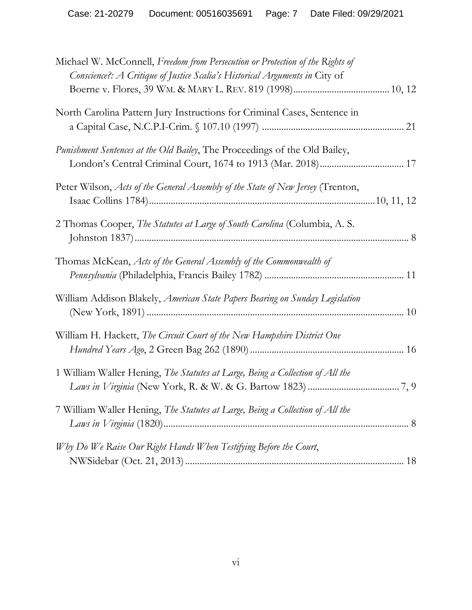| Michael W. McConnell, Freedom from Persecution or Protection of the Rights of<br>Conscience?: A Critique of Justice Scalia's Historical Arguments in City of |  |
|--------------------------------------------------------------------------------------------------------------------------------------------------------------|--|
|                                                                                                                                                              |  |
| North Carolina Pattern Jury Instructions for Criminal Cases, Sentence in                                                                                     |  |
| Punishment Sentences at the Old Bailey, The Proceedings of the Old Bailey,                                                                                   |  |
| Peter Wilson, Acts of the General Assembly of the State of New Jersey (Trenton,                                                                              |  |
| 2 Thomas Cooper, The Statutes at Large of South Carolina (Columbia, A. S.                                                                                    |  |
| Thomas McKean, Acts of the General Assembly of the Commonwealth of                                                                                           |  |
| William Addison Blakely, American State Papers Bearing on Sunday Legislation                                                                                 |  |
| William H. Hackett, The Circuit Court of the New Hampshire District One                                                                                      |  |
| 1 William Waller Hening, The Statutes at Large, Being a Collection of All the                                                                                |  |
| 7 William Waller Hening, The Statutes at Large, Being a Collection of All the                                                                                |  |
| Why Do We Raise Our Right Hands When Testifying Before the Court,                                                                                            |  |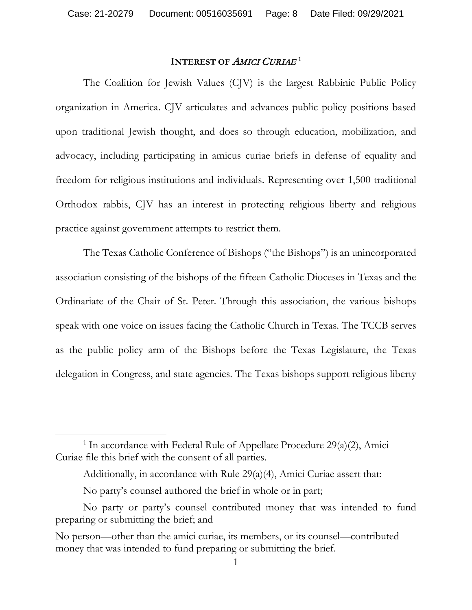#### **INTEREST OF AMICI CURIAE<sup>[1](#page-7-0)</sup>**

The Coalition for Jewish Values (CJV) is the largest Rabbinic Public Policy organization in America. CJV articulates and advances public policy positions based upon traditional Jewish thought, and does so through education, mobilization, and advocacy, including participating in amicus curiae briefs in defense of equality and freedom for religious institutions and individuals. Representing over 1,500 traditional Orthodox rabbis, CJV has an interest in protecting religious liberty and religious practice against government attempts to restrict them.

The Texas Catholic Conference of Bishops ("the Bishops") is an unincorporated association consisting of the bishops of the fifteen Catholic Dioceses in Texas and the Ordinariate of the Chair of St. Peter. Through this association, the various bishops speak with one voice on issues facing the Catholic Church in Texas. The TCCB serves as the public policy arm of the Bishops before the Texas Legislature, the Texas delegation in Congress, and state agencies. The Texas bishops support religious liberty

<span id="page-7-0"></span><sup>&</sup>lt;sup>1</sup> In accordance with Federal Rule of Appellate Procedure  $29(a)(2)$ , Amici Curiae file this brief with the consent of all parties.

Additionally, in accordance with Rule 29(a)(4), Amici Curiae assert that:

No party's counsel authored the brief in whole or in part;

No party or party's counsel contributed money that was intended to fund preparing or submitting the brief; and

No person—other than the amici curiae, its members, or its counsel—contributed money that was intended to fund preparing or submitting the brief.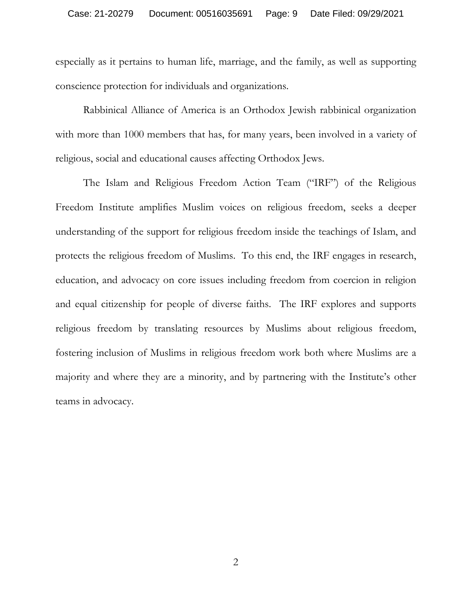especially as it pertains to human life, marriage, and the family, as well as supporting conscience protection for individuals and organizations.

Rabbinical Alliance of America is an Orthodox Jewish rabbinical organization with more than 1000 members that has, for many years, been involved in a variety of religious, social and educational causes affecting Orthodox Jews.

The Islam and Religious Freedom Action Team ("IRF") of the Religious Freedom Institute amplifies Muslim voices on religious freedom, seeks a deeper understanding of the support for religious freedom inside the teachings of Islam, and protects the religious freedom of Muslims. To this end, the IRF engages in research, education, and advocacy on core issues including freedom from coercion in religion and equal citizenship for people of diverse faiths. The IRF explores and supports religious freedom by translating resources by Muslims about religious freedom, fostering inclusion of Muslims in religious freedom work both where Muslims are a majority and where they are a minority, and by partnering with the Institute's other teams in advocacy.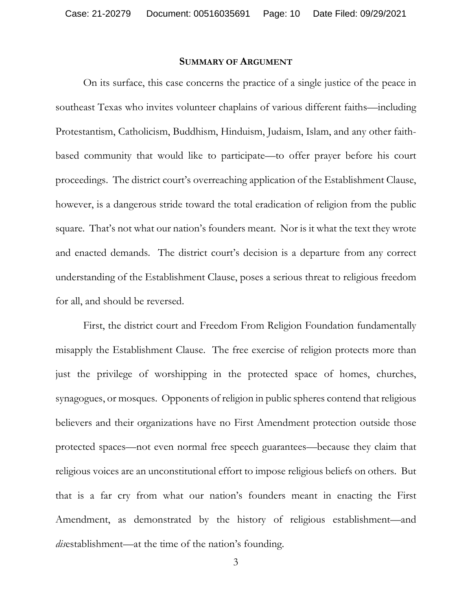#### **SUMMARY OF ARGUMENT**

On its surface, this case concerns the practice of a single justice of the peace in southeast Texas who invites volunteer chaplains of various different faiths—including Protestantism, Catholicism, Buddhism, Hinduism, Judaism, Islam, and any other faithbased community that would like to participate—to offer prayer before his court proceedings. The district court's overreaching application of the Establishment Clause, however, is a dangerous stride toward the total eradication of religion from the public square. That's not what our nation's founders meant. Nor is it what the text they wrote and enacted demands. The district court's decision is a departure from any correct understanding of the Establishment Clause, poses a serious threat to religious freedom for all, and should be reversed.

First, the district court and Freedom From Religion Foundation fundamentally misapply the Establishment Clause. The free exercise of religion protects more than just the privilege of worshipping in the protected space of homes, churches, synagogues, or mosques. Opponents of religion in public spheres contend that religious believers and their organizations have no First Amendment protection outside those protected spaces—not even normal free speech guarantees—because they claim that religious voices are an unconstitutional effort to impose religious beliefs on others. But that is a far cry from what our nation's founders meant in enacting the First Amendment, as demonstrated by the history of religious establishment—and *dis*establishment—at the time of the nation's founding.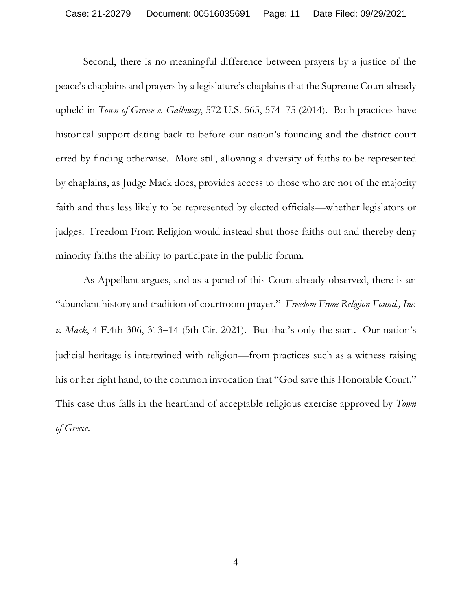<span id="page-10-0"></span>Second, there is no meaningful difference between prayers by a justice of the peace's chaplains and prayers by a legislature's chaplains that the Supreme Court already upheld in *Town of Greece v. Galloway*, 572 U.S. 565, 574–75 (2014). Both practices have historical support dating back to before our nation's founding and the district court erred by finding otherwise. More still, allowing a diversity of faiths to be represented by chaplains, as Judge Mack does, provides access to those who are not of the majority faith and thus less likely to be represented by elected officials—whether legislators or judges. Freedom From Religion would instead shut those faiths out and thereby deny minority faiths the ability to participate in the public forum.

As Appellant argues, and as a panel of this Court already observed, there is an "abundant history and tradition of courtroom prayer." *Freedom From Religion Found., Inc. v. Mack*, 4 F.4th 306, 313–14 (5th Cir. 2021). But that's only the start. Our nation's judicial heritage is intertwined with religion—from practices such as a witness raising his or her right hand, to the common invocation that "God save this Honorable Court." This case thus falls in the heartland of acceptable religious exercise approved by *Town of Greece*.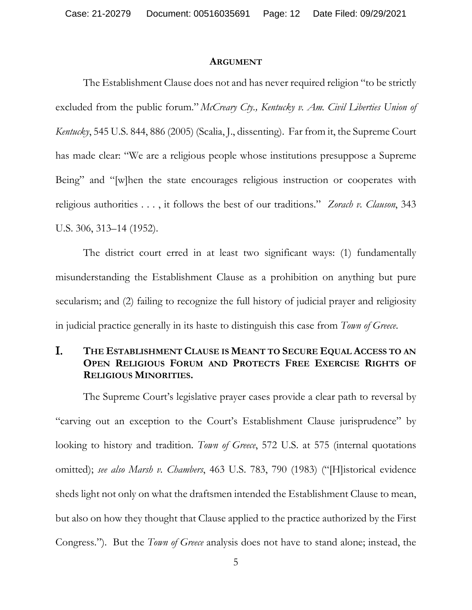#### **ARGUMENT**

The Establishment Clause does not and has never required religion "to be strictly excluded from the public forum." *McCreary Cty., Kentucky v. Am. Civil Liberties Union of Kentucky*, 545 U.S. 844, 886 (2005) (Scalia, J., dissenting). Far from it, the Supreme Court has made clear: "We are a religious people whose institutions presuppose a Supreme Being" and "[w]hen the state encourages religious instruction or cooperates with religious authorities . . . , it follows the best of our traditions." *Zorach v. Clauson*, 343 U.S. 306, 313–14 (1952).

The district court erred in at least two significant ways: (1) fundamentally misunderstanding the Establishment Clause as a prohibition on anything but pure secularism; and (2) failing to recognize the full history of judicial prayer and religiosity in judicial practice generally in its haste to distinguish this case from *Town of Greece*.

# I. **THE ESTABLISHMENT CLAUSE IS MEANT TO SECURE EQUAL ACCESS TO AN OPEN RELIGIOUS FORUM AND PROTECTS FREE EXERCISE RIGHTS OF RELIGIOUS MINORITIES.**

The Supreme Court's legislative prayer cases provide a clear path to reversal by "carving out an exception to the Court's Establishment Clause jurisprudence" by looking to history and tradition. *Town of Greece*, 572 U.S. at 575 (internal quotations omitted); *see also Marsh v. Chambers*, 463 U.S. 783, 790 (1983) ("[H]istorical evidence sheds light not only on what the draftsmen intended the Establishment Clause to mean, but also on how they thought that Clause applied to the practice authorized by the First Congress."). But the *Town of Greece* analysis does not have to stand alone; instead, the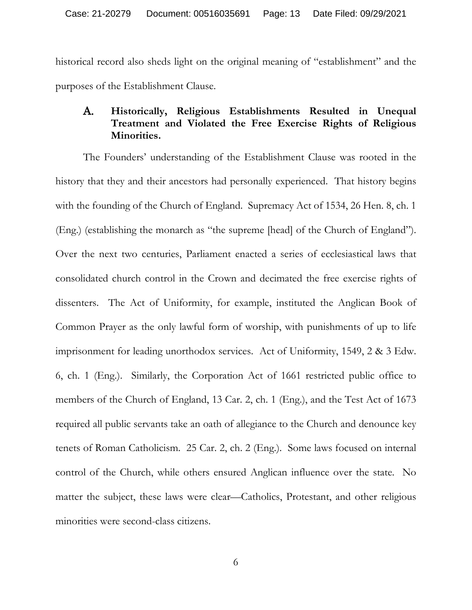historical record also sheds light on the original meaning of "establishment" and the purposes of the Establishment Clause.

# A. **Historically, Religious Establishments Resulted in Unequal Treatment and Violated the Free Exercise Rights of Religious Minorities.**

The Founders' understanding of the Establishment Clause was rooted in the history that they and their ancestors had personally experienced. That history begins with the founding of the Church of England. Supremacy Act of 1534, 26 Hen. 8, ch. 1 (Eng.) (establishing the monarch as "the supreme [head] of the Church of England"). Over the next two centuries, Parliament enacted a series of ecclesiastical laws that consolidated church control in the Crown and decimated the free exercise rights of dissenters. The Act of Uniformity, for example, instituted the Anglican Book of Common Prayer as the only lawful form of worship, with punishments of up to life imprisonment for leading unorthodox services. Act of Uniformity, 1549, 2 & 3 Edw. 6, ch. 1 (Eng.). Similarly, the Corporation Act of 1661 restricted public office to members of the Church of England, 13 Car. 2, ch. 1 (Eng.), and the Test Act of 1673 required all public servants take an oath of allegiance to the Church and denounce key tenets of Roman Catholicism. 25 Car. 2, ch. 2 (Eng.). Some laws focused on internal control of the Church, while others ensured Anglican influence over the state. No matter the subject, these laws were clear—Catholics, Protestant, and other religious minorities were second-class citizens.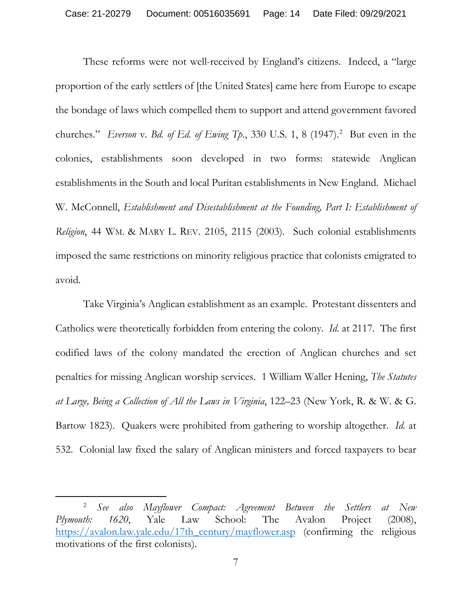<span id="page-13-1"></span><span id="page-13-0"></span>These reforms were not well-received by England's citizens. Indeed, a "large proportion of the early settlers of [the United States] came here from Europe to escape the bondage of laws which compelled them to support and attend government favored churches." *Everson* v. *Bd. of Ed. of Ewing Tp.*, 330 U.S. 1, 8 (1947).<sup>[2](#page-13-2)</sup> But even in the colonies, establishments soon developed in two forms: statewide Anglican establishments in the South and local Puritan establishments in New England. Michael W. McConnell, *Establishment and Disestablishment at the Founding*, *Part I: Establishment of Religion*, 44 WM. & MARY L. REV. 2105, 2115 (2003). Such colonial establishments imposed the same restrictions on minority religious practice that colonists emigrated to avoid.

Take Virginia's Anglican establishment as an example. Protestant dissenters and Catholics were theoretically forbidden from entering the colony. *Id.* at 2117. The first codified laws of the colony mandated the erection of Anglican churches and set penalties for missing Anglican worship services. 1 William Waller Hening, *The Statutes at Large, Being a Collection of All the Laws in Virginia*, 122–23 (New York, R. & W. & G. Bartow 1823). Quakers were prohibited from gathering to worship altogether. *Id.* at 532. Colonial law fixed the salary of Anglican ministers and forced taxpayers to bear

<span id="page-13-2"></span><sup>2</sup> *See also Mayflower Compact: Agreement Between the Settlers at New Plymouth: 1620*, Yale Law School: The Avalon Project (2008), [https://avalon.law.yale.edu/17th\\_century/mayflower.asp](https://avalon.law.yale.edu/17th_century/mayflower.asp) (confirming the religious motivations of the first colonists).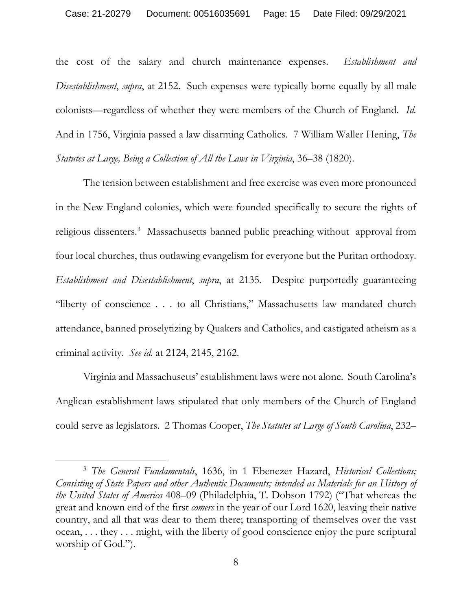the cost of the salary and church maintenance expenses. *Establishment and Disestablishment*, *supra*, at 2152. Such expenses were typically borne equally by all male colonists—regardless of whether they were members of the Church of England. *Id.*  And in 1756, Virginia passed a law disarming Catholics. 7 William Waller Hening, *The Statutes at Large, Being a Collection of All the Laws in Virginia*, 36–38 (1820).

The tension between establishment and free exercise was even more pronounced in the New England colonies, which were founded specifically to secure the rights of religious dissenters.<sup>[3](#page-14-0)</sup> Massachusetts banned public preaching without approval from four local churches, thus outlawing evangelism for everyone but the Puritan orthodoxy. *Establishment and Disestablishment*, *supra*, at 2135. Despite purportedly guaranteeing "liberty of conscience . . . to all Christians," Massachusetts law mandated church attendance, banned proselytizing by Quakers and Catholics, and castigated atheism as a criminal activity. *See id.* at 2124, 2145, 2162.

Virginia and Massachusetts' establishment laws were not alone. South Carolina's Anglican establishment laws stipulated that only members of the Church of England could serve as legislators. 2 Thomas Cooper, *The Statutes at Large of South Carolina*, 232–

<span id="page-14-0"></span><sup>3</sup> *The General Fundamentals*, 1636, in 1 Ebenezer Hazard, *Historical Collections; Consisting of State Papers and other Authentic Documents; intended as Materials for an History of the United States of America* 408–09 (Philadelphia, T. Dobson 1792) ("That whereas the great and known end of the first *comers* in the year of our Lord 1620, leaving their native country, and all that was dear to them there; transporting of themselves over the vast ocean, . . . they . . . might, with the liberty of good conscience enjoy the pure scriptural worship of God.").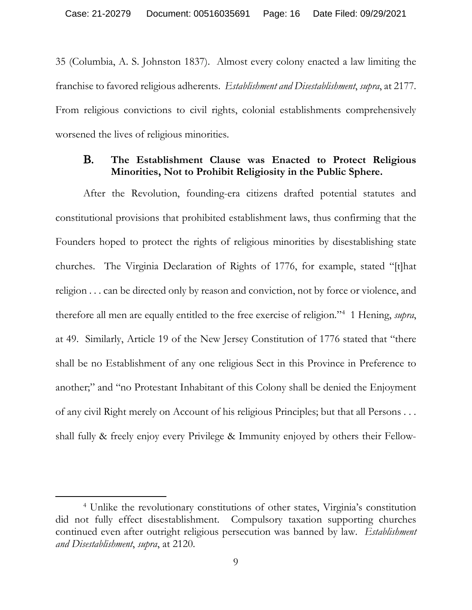35 (Columbia, A. S. Johnston 1837). Almost every colony enacted a law limiting the franchise to favored religious adherents. *Establishment and Disestablishment*, *supra*, at 2177. From religious convictions to civil rights, colonial establishments comprehensively worsened the lives of religious minorities.

#### B. **The Establishment Clause was Enacted to Protect Religious Minorities, Not to Prohibit Religiosity in the Public Sphere.**

After the Revolution, founding-era citizens drafted potential statutes and constitutional provisions that prohibited establishment laws, thus confirming that the Founders hoped to protect the rights of religious minorities by disestablishing state churches. The Virginia Declaration of Rights of 1776, for example, stated "[t]hat religion . . . can be directed only by reason and conviction, not by force or violence, and therefore all men are equally entitled to the free exercise of religion."[4](#page-15-0) 1 Hening, *supra*, at 49. Similarly, Article 19 of the New Jersey Constitution of 1776 stated that "there shall be no Establishment of any one religious Sect in this Province in Preference to another;" and "no Protestant Inhabitant of this Colony shall be denied the Enjoyment of any civil Right merely on Account of his religious Principles; but that all Persons . . . shall fully & freely enjoy every Privilege & Immunity enjoyed by others their Fellow-

<span id="page-15-0"></span><sup>4</sup> Unlike the revolutionary constitutions of other states, Virginia's constitution did not fully effect disestablishment. Compulsory taxation supporting churches continued even after outright religious persecution was banned by law. *Establishment and Disestablishment*, *supra*, at 2120.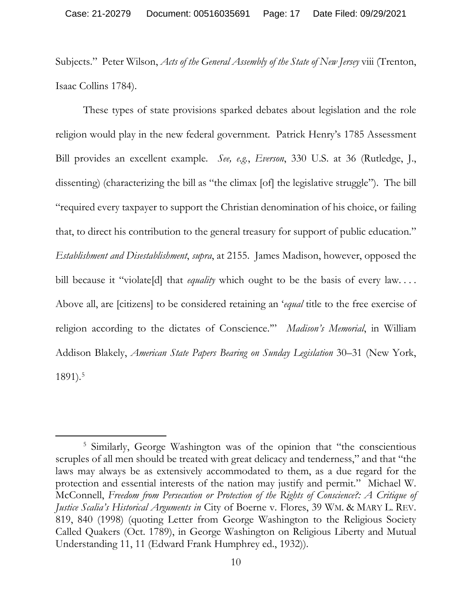Subjects." Peter Wilson, *Acts of the General Assembly of the State of New Jersey* viii (Trenton, Isaac Collins 1784).

These types of state provisions sparked debates about legislation and the role religion would play in the new federal government. Patrick Henry's 1785 Assessment Bill provides an excellent example. *See, e.g.*, *Everson*, 330 U.S. at 36 (Rutledge, J., dissenting) (characterizing the bill as "the climax [of] the legislative struggle"). The bill "required every taxpayer to support the Christian denomination of his choice, or failing that, to direct his contribution to the general treasury for support of public education." *Establishment and Disestablishment*, *supra*, at 2155. James Madison, however, opposed the bill because it "violate<sup>[d]</sup> that *equality* which ought to be the basis of every law.... Above all, are [citizens] to be considered retaining an '*equal* title to the free exercise of religion according to the dictates of Conscience.'" *Madison's Memorial*, in William Addison Blakely, *American State Papers Bearing on Sunday Legislation* 30–31 (New York, 1891).[5](#page-16-0)

<span id="page-16-0"></span><sup>&</sup>lt;sup>5</sup> Similarly, George Washington was of the opinion that "the conscientious" scruples of all men should be treated with great delicacy and tenderness," and that "the laws may always be as extensively accommodated to them, as a due regard for the protection and essential interests of the nation may justify and permit." Michael W. McConnell, *Freedom from Persecution or Protection of the Rights of Conscience?: A Critique of Justice Scalia's Historical Arguments in* City of Boerne v. Flores, 39 WM. & MARY L. REV. 819, 840 (1998) (quoting Letter from George Washington to the Religious Society Called Quakers (Oct. 1789), in George Washington on Religious Liberty and Mutual Understanding 11, 11 (Edward Frank Humphrey ed., 1932)).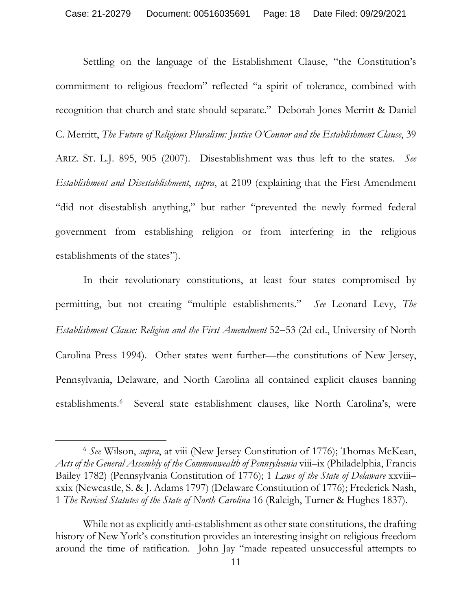Settling on the language of the Establishment Clause, "the Constitution's commitment to religious freedom" reflected "a spirit of tolerance, combined with recognition that church and state should separate." Deborah Jones Merritt & Daniel C. Merritt, *The Future of Religious Pluralism: Justice O'Connor and the Establishment Clause*, 39 ARIZ. ST. L.J. 895, 905 (2007). Disestablishment was thus left to the states. *See Establishment and Disestablishment*, *supra*, at 2109 (explaining that the First Amendment "did not disestablish anything," but rather "prevented the newly formed federal government from establishing religion or from interfering in the religious establishments of the states").

<span id="page-17-0"></span>In their revolutionary constitutions, at least four states compromised by permitting, but not creating "multiple establishments." *See* Leonard Levy, *The Establishment Clause: Religion and the First Amendment* 52−53 (2d ed., University of North Carolina Press 1994). Other states went further—the constitutions of New Jersey, Pennsylvania, Delaware, and North Carolina all contained explicit clauses banning establishments.<sup>[6](#page-17-1)</sup> Several state establishment clauses, like North Carolina's, were

<span id="page-17-1"></span><sup>6</sup> *See* Wilson, *supra*, at viii (New Jersey Constitution of 1776); Thomas McKean, *Acts of the General Assembly of the Commonwealth of Pennsylvania* viii–ix (Philadelphia, Francis Bailey 1782) (Pennsylvania Constitution of 1776); 1 *Laws of the State of Delaware* xxviii– xxix (Newcastle, S. & J. Adams 1797) (Delaware Constitution of 1776); Frederick Nash, 1 *The Revised Statutes of the State of North Carolina* 16 (Raleigh, Turner & Hughes 1837).

While not as explicitly anti-establishment as other state constitutions, the drafting history of New York's constitution provides an interesting insight on religious freedom around the time of ratification. John Jay "made repeated unsuccessful attempts to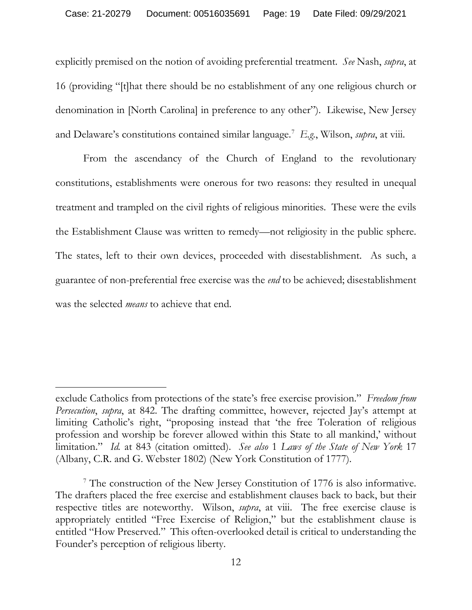explicitly premised on the notion of avoiding preferential treatment. *See* Nash, *supra*, at 16 (providing "[t]hat there should be no establishment of any one religious church or denomination in [North Carolina] in preference to any other"). Likewise, New Jersey and Delaware's constitutions contained similar language.[7](#page-18-0) *E.g.*, Wilson, *supra*, at viii.

From the ascendancy of the Church of England to the revolutionary constitutions, establishments were onerous for two reasons: they resulted in unequal treatment and trampled on the civil rights of religious minorities. These were the evils the Establishment Clause was written to remedy—not religiosity in the public sphere. The states, left to their own devices, proceeded with disestablishment. As such, a guarantee of non-preferential free exercise was the *end* to be achieved; disestablishment was the selected *means* to achieve that end.

exclude Catholics from protections of the state's free exercise provision." *Freedom from Persecution, supra,* at 842. The drafting committee, however, rejected Jay's attempt at limiting Catholic's right, "proposing instead that 'the free Toleration of religious profession and worship be forever allowed within this State to all mankind,' without limitation." *Id.* at 843 (citation omitted). *See also* 1 *Laws of the State of New York* 17 (Albany, C.R. and G. Webster 1802) (New York Constitution of 1777).

<span id="page-18-0"></span><sup>&</sup>lt;sup>7</sup> The construction of the New Jersey Constitution of 1776 is also informative. The drafters placed the free exercise and establishment clauses back to back, but their respective titles are noteworthy. Wilson, *supra*, at viii. The free exercise clause is appropriately entitled "Free Exercise of Religion," but the establishment clause is entitled "How Preserved." This often-overlooked detail is critical to understanding the Founder's perception of religious liberty.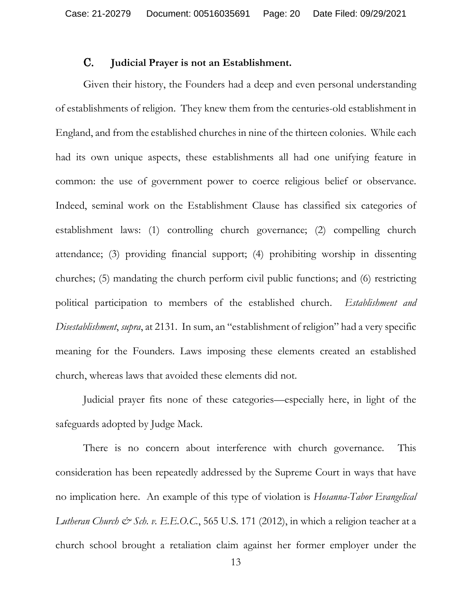## C. **Judicial Prayer is not an Establishment.**

Given their history, the Founders had a deep and even personal understanding of establishments of religion. They knew them from the centuries-old establishment in England, and from the established churches in nine of the thirteen colonies. While each had its own unique aspects, these establishments all had one unifying feature in common: the use of government power to coerce religious belief or observance. Indeed, seminal work on the Establishment Clause has classified six categories of establishment laws: (1) controlling church governance; (2) compelling church attendance; (3) providing financial support; (4) prohibiting worship in dissenting churches; (5) mandating the church perform civil public functions; and (6) restricting political participation to members of the established church. *Establishment and Disestablishment*, *supra*, at 2131. In sum, an "establishment of religion" had a very specific meaning for the Founders. Laws imposing these elements created an established church, whereas laws that avoided these elements did not.

Judicial prayer fits none of these categories—especially here, in light of the safeguards adopted by Judge Mack.

<span id="page-19-0"></span>There is no concern about interference with church governance. This consideration has been repeatedly addressed by the Supreme Court in ways that have no implication here. An example of this type of violation is *Hosanna-Tabor Evangelical Lutheran Church & Sch. v. E.E.O.C.*, 565 U.S. 171 (2012), in which a religion teacher at a church school brought a retaliation claim against her former employer under the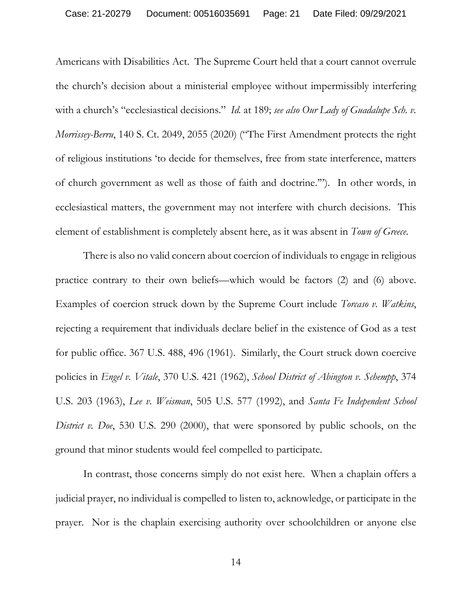<span id="page-20-1"></span>Americans with Disabilities Act. The Supreme Court held that a court cannot overrule the church's decision about a ministerial employee without impermissibly interfering with a church's "ecclesiastical decisions." *Id.* at 189; *see also Our Lady of Guadalupe Sch. v. Morrissey-Berru*, 140 S. Ct. 2049, 2055 (2020) ("The First Amendment protects the right of religious institutions 'to decide for themselves, free from state interference, matters of church government as well as those of faith and doctrine.'"). In other words, in ecclesiastical matters, the government may not interfere with church decisions. This element of establishment is completely absent here, as it was absent in *Town of Greece*.

There is also no valid concern about coercion of individuals to engage in religious practice contrary to their own beliefs—which would be factors (2) and (6) above. Examples of coercion struck down by the Supreme Court include *Torcaso v. Watkins*, rejecting a requirement that individuals declare belief in the existence of God as a test for public office. 367 U.S. 488, 496 (1961). Similarly, the Court struck down coercive policies in *Engel v. Vitale*, 370 U.S. 421 (1962), *School District of Abington v. Schempp*, 374 U.S. 203 (1963), *Lee v. Weisman*, 505 U.S. 577 (1992), and *Santa Fe Independent School District v. Doe*, 530 U.S. 290 (2000), that were sponsored by public schools, on the ground that minor students would feel compelled to participate.

<span id="page-20-0"></span>In contrast, those concerns simply do not exist here. When a chaplain offers a judicial prayer, no individual is compelled to listen to, acknowledge, or participate in the prayer. Nor is the chaplain exercising authority over schoolchildren or anyone else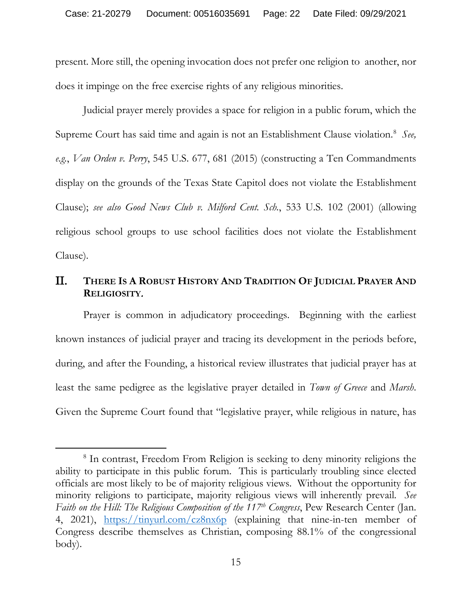present. More still, the opening invocation does not prefer one religion to another, nor does it impinge on the free exercise rights of any religious minorities.

Judicial prayer merely provides a space for religion in a public forum, which the Supreme Court has said time and again is not an Establishment Clause violation.[8](#page-21-0) *See, e.g.*, *Van Orden v. Perry*, 545 U.S. 677, 681 (2015) (constructing a Ten Commandments display on the grounds of the Texas State Capitol does not violate the Establishment Clause); *see also Good News Club v. Milford Cent. Sch.*, 533 U.S. 102 (2001) (allowing religious school groups to use school facilities does not violate the Establishment Clause).

# II. **THERE IS A ROBUST HISTORY AND TRADITION OF JUDICIAL PRAYER AND RELIGIOSITY**.

Prayer is common in adjudicatory proceedings. Beginning with the earliest known instances of judicial prayer and tracing its development in the periods before, during, and after the Founding, a historical review illustrates that judicial prayer has at least the same pedigree as the legislative prayer detailed in *Town of Greece* and *Marsh*. Given the Supreme Court found that "legislative prayer, while religious in nature, has

<span id="page-21-0"></span><sup>&</sup>lt;sup>8</sup> In contrast, Freedom From Religion is seeking to deny minority religions the ability to participate in this public forum. This is particularly troubling since elected officials are most likely to be of majority religious views. Without the opportunity for minority religions to participate, majority religious views will inherently prevail. *See Faith on the Hill: The Religious Composition of the 117th Congress*, Pew Research Center (Jan. 4, 2021), <https://tinyurl.com/cz8nx6p> (explaining that nine-in-ten member of Congress describe themselves as Christian, composing 88.1% of the congressional body).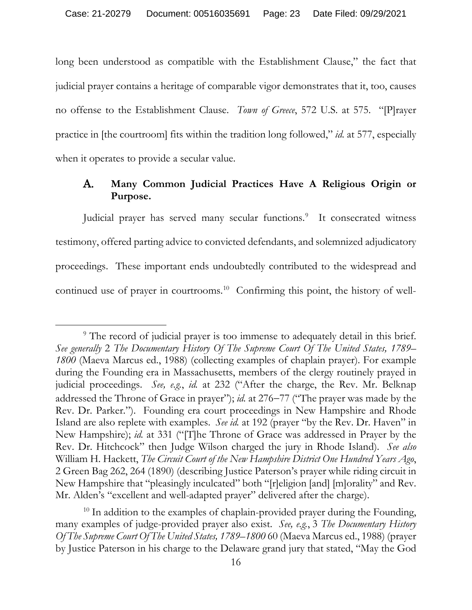long been understood as compatible with the Establishment Clause," the fact that judicial prayer contains a heritage of comparable vigor demonstrates that it, too, causes no offense to the Establishment Clause. *Town of Greece*, 572 U.S. at 575. "[P]rayer practice in [the courtroom] fits within the tradition long followed," *id.* at 577, especially when it operates to provide a secular value.

## A. **Many Common Judicial Practices Have A Religious Origin or Purpose.**

Judicial prayer has served many secular functions.<sup>[9](#page-22-1)</sup> It consecrated witness testimony, offered parting advice to convicted defendants, and solemnized adjudicatory proceedings. These important ends undoubtedly contributed to the widespread and continued use of prayer in courtrooms.[10](#page-22-2) Confirming this point, the history of well-

<span id="page-22-1"></span><sup>&</sup>lt;sup>9</sup> The record of judicial prayer is too immense to adequately detail in this brief. *See generally* 2 *The Documentary History Of The Supreme Court Of The United States, 1789– 1800* (Maeva Marcus ed., 1988) (collecting examples of chaplain prayer). For example during the Founding era in Massachusetts, members of the clergy routinely prayed in judicial proceedings. *See, e.g.*, *id.* at 232 ("After the charge, the Rev. Mr. Belknap addressed the Throne of Grace in prayer"); *id.* at 276−77 ("The prayer was made by the Rev. Dr. Parker."). Founding era court proceedings in New Hampshire and Rhode Island are also replete with examples. *See id.* at 192 (prayer "by the Rev. Dr. Haven" in New Hampshire); *id.* at 331 ("[T]he Throne of Grace was addressed in Prayer by the Rev. Dr. Hitchcock" then Judge Wilson charged the jury in Rhode Island). *See also*  William H. Hackett, *The Circuit Court of the New Hampshire District One Hundred Years Ago*, 2 Green Bag 262, 264 (1890) (describing Justice Paterson's prayer while riding circuit in New Hampshire that "pleasingly inculcated" both "[r]eligion [and] [m]orality" and Rev. Mr. Alden's "excellent and well-adapted prayer" delivered after the charge).

<span id="page-22-2"></span><span id="page-22-0"></span><sup>&</sup>lt;sup>10</sup> In addition to the examples of chaplain-provided prayer during the Founding, many examples of judge-provided prayer also exist. *See, e.g.*, 3 *The Documentary History Of The Supreme Court Of The United States, 1789–1800* 60 (Maeva Marcus ed., 1988) (prayer by Justice Paterson in his charge to the Delaware grand jury that stated, "May the God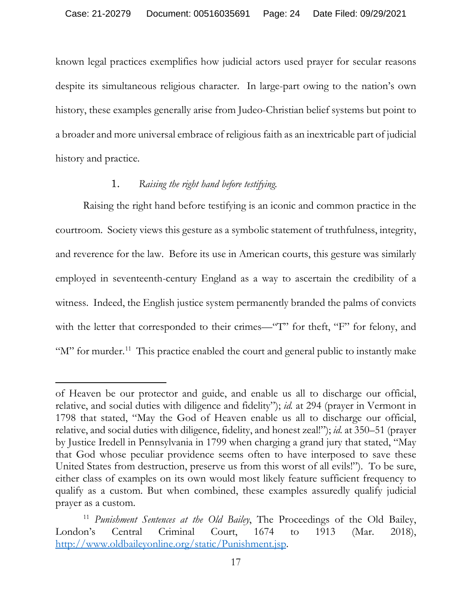known legal practices exemplifies how judicial actors used prayer for secular reasons despite its simultaneous religious character. In large-part owing to the nation's own history, these examples generally arise from Judeo-Christian belief systems but point to a broader and more universal embrace of religious faith as an inextricable part of judicial history and practice.

#### 1. *Raising the right hand before testifying.*

 $\overline{a}$ 

Raising the right hand before testifying is an iconic and common practice in the courtroom. Society views this gesture as a symbolic statement of truthfulness, integrity, and reverence for the law. Before its use in American courts, this gesture was similarly employed in seventeenth-century England as a way to ascertain the credibility of a witness. Indeed, the English justice system permanently branded the palms of convicts with the letter that corresponded to their crimes—"T" for theft, "F" for felony, and " $M$ " for murder.<sup>[11](#page-23-0)</sup> This practice enabled the court and general public to instantly make

of Heaven be our protector and guide, and enable us all to discharge our official, relative, and social duties with diligence and fidelity"); *id.* at 294 (prayer in Vermont in 1798 that stated, "May the God of Heaven enable us all to discharge our official, relative, and social duties with diligence, fidelity, and honest zeal!"); *id.* at 350–51 (prayer by Justice Iredell in Pennsylvania in 1799 when charging a grand jury that stated, "May that God whose peculiar providence seems often to have interposed to save these United States from destruction, preserve us from this worst of all evils!"). To be sure, either class of examples on its own would most likely feature sufficient frequency to qualify as a custom. But when combined, these examples assuredly qualify judicial prayer as a custom.

<span id="page-23-0"></span><sup>11</sup> *Punishment Sentences at the Old Bailey*, The Proceedings of the Old Bailey, London's Central Criminal Court, 1674 to 1913 (Mar. 2018), [http://www.oldbaileyonline.org/static/Punishment.jsp.](http://www.oldbaileyonline.org/static/Punishment.jsp)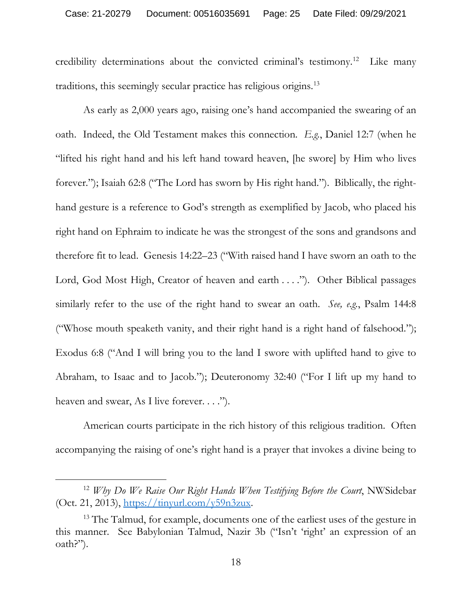credibility determinations about the convicted criminal's testimony.[12](#page-24-0) Like many traditions, this seemingly secular practice has religious origins.[13](#page-24-1) 

As early as 2,000 years ago, raising one's hand accompanied the swearing of an oath. Indeed, the Old Testament makes this connection. *E.g.*, Daniel 12:7 (when he "lifted his right hand and his left hand toward heaven, [he swore] by Him who lives forever."); Isaiah 62:8 ("The Lord has sworn by His right hand."). Biblically, the righthand gesture is a reference to God's strength as exemplified by Jacob, who placed his right hand on Ephraim to indicate he was the strongest of the sons and grandsons and therefore fit to lead. Genesis 14:22–23 ("With raised hand I have sworn an oath to the Lord, God Most High, Creator of heaven and earth . . . ."). Other Biblical passages similarly refer to the use of the right hand to swear an oath. *See, e.g.*, Psalm 144:8 ("Whose mouth speaketh vanity, and their right hand is a right hand of falsehood."); Exodus 6:8 ("And I will bring you to the land I swore with uplifted hand to give to Abraham, to Isaac and to Jacob."); Deuteronomy 32:40 ("For I lift up my hand to heaven and swear, As I live forever. . . .").

American courts participate in the rich history of this religious tradition. Often accompanying the raising of one's right hand is a prayer that invokes a divine being to

<span id="page-24-0"></span><sup>12</sup> *Why Do We Raise Our Right Hands When Testifying Before the Court*, NWSidebar (Oct. 21, 2013), [https://tinyurl.com/y59n3zux.](https://tinyurl.com/y59n3zux)

<span id="page-24-1"></span><sup>&</sup>lt;sup>13</sup> The Talmud, for example, documents one of the earliest uses of the gesture in this manner. See Babylonian Talmud, Nazir 3b ("Isn't 'right' an expression of an oath?").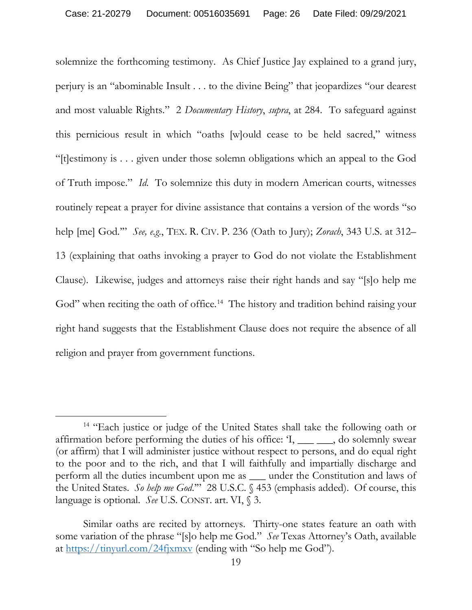solemnize the forthcoming testimony. As Chief Justice Jay explained to a grand jury, perjury is an "abominable Insult . . . to the divine Being" that jeopardizes "our dearest and most valuable Rights." 2 *Documentary History*, *supra*, at 284. To safeguard against this pernicious result in which "oaths [w]ould cease to be held sacred," witness "[t]estimony is . . . given under those solemn obligations which an appeal to the God of Truth impose." *Id.* To solemnize this duty in modern American courts, witnesses routinely repeat a prayer for divine assistance that contains a version of the words "so help [me] God.'" *See, e.g.*, TEX. R. CIV. P. 236 (Oath to Jury); *Zorach*, 343 U.S. at 312– 13 (explaining that oaths invoking a prayer to God do not violate the Establishment Clause). Likewise, judges and attorneys raise their right hands and say "[s]o help me God" when reciting the oath of office.<sup>14</sup> The history and tradition behind raising your right hand suggests that the Establishment Clause does not require the absence of all religion and prayer from government functions.

<span id="page-25-0"></span><sup>14</sup> "Each justice or judge of the United States shall take the following oath or affirmation before performing the duties of his office: 'I, \_\_\_ \_\_\_, do solemnly swear (or affirm) that I will administer justice without respect to persons, and do equal right to the poor and to the rich, and that I will faithfully and impartially discharge and perform all the duties incumbent upon me as \_\_\_ under the Constitution and laws of the United States. *So help me God*.'" 28 U.S.C. § 453 (emphasis added). Of course, this language is optional. *See* U.S. CONST. art. VI, § 3.

Similar oaths are recited by attorneys. Thirty-one states feature an oath with some variation of the phrase "[s]o help me God." *See* Texas Attorney's Oath, available at<https://tinyurl.com/24fjxmxv> (ending with "So help me God").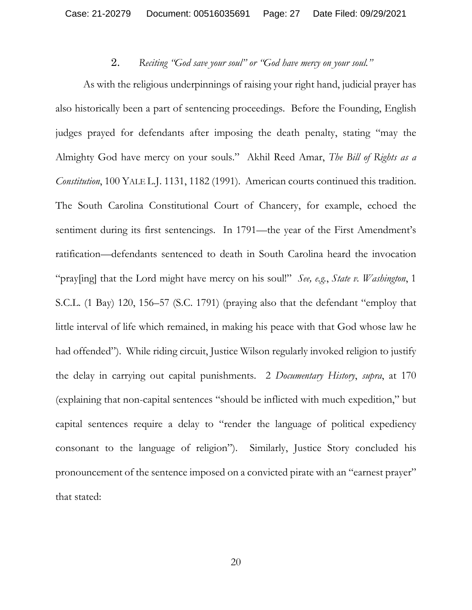#### 2. *Reciting "God save your soul" or "God have mercy on your soul."*

As with the religious underpinnings of raising your right hand, judicial prayer has also historically been a part of sentencing proceedings. Before the Founding, English judges prayed for defendants after imposing the death penalty, stating "may the Almighty God have mercy on your souls." Akhil Reed Amar, *The Bill of Rights as a Constitution*, 100 YALE L.J. 1131, 1182 (1991). American courts continued this tradition. The South Carolina Constitutional Court of Chancery, for example, echoed the sentiment during its first sentencings. In 1791—the year of the First Amendment's ratification—defendants sentenced to death in South Carolina heard the invocation "pray[ing] that the Lord might have mercy on his soul!" *See, e.g.*, *State v. Washington*, 1 S.C.L. (1 Bay) 120, 156–57 (S.C. 1791) (praying also that the defendant "employ that little interval of life which remained, in making his peace with that God whose law he had offended"). While riding circuit, Justice Wilson regularly invoked religion to justify the delay in carrying out capital punishments. 2 *Documentary History*, *supra*, at 170 (explaining that non-capital sentences "should be inflicted with much expedition," but capital sentences require a delay to "render the language of political expediency consonant to the language of religion"). Similarly, Justice Story concluded his pronouncement of the sentence imposed on a convicted pirate with an "earnest prayer" that stated: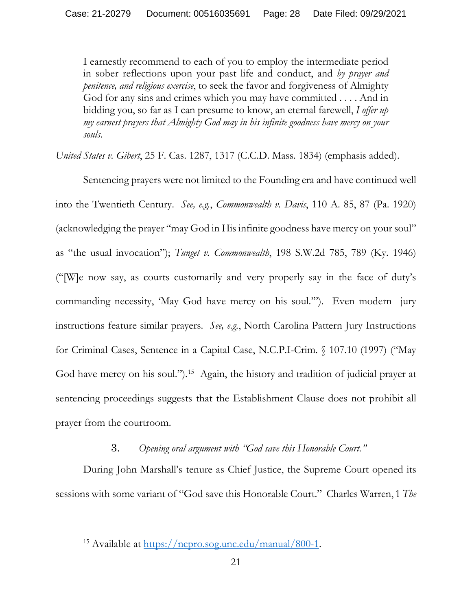I earnestly recommend to each of you to employ the intermediate period in sober reflections upon your past life and conduct, and *by prayer and penitence, and religious exercise*, to seek the favor and forgiveness of Almighty God for any sins and crimes which you may have committed . . . . And in bidding you, so far as I can presume to know, an eternal farewell, *I offer up my earnest prayers that Almighty God may in his infinite goodness have mercy on your souls*.

*United States v. Gibert*, 25 F. Cas. 1287, 1317 (C.C.D. Mass. 1834) (emphasis added).

<span id="page-27-0"></span>Sentencing prayers were not limited to the Founding era and have continued well into the Twentieth Century. *See, e.g.*, *Commonwealth v. Davis*, 110 A. 85, 87 (Pa. 1920) (acknowledging the prayer "may God in His infinite goodness have mercy on your soul" as "the usual invocation"); *Tunget v. Commonwealth*, 198 S.W.2d 785, 789 (Ky. 1946) ("[W]e now say, as courts customarily and very properly say in the face of duty's commanding necessity, 'May God have mercy on his soul.'"). Even modern jury instructions feature similar prayers. *See, e.g.*, North Carolina Pattern Jury Instructions for Criminal Cases, Sentence in a Capital Case, N.C.P.I-Crim. § 107.10 (1997) ("May God have mercy on his soul.").<sup>15</sup> Again, the history and tradition of judicial prayer at sentencing proceedings suggests that the Establishment Clause does not prohibit all prayer from the courtroom.

### 3. *Opening oral argument with "God save this Honorable Court."*

During John Marshall's tenure as Chief Justice, the Supreme Court opened its sessions with some variant of "God save this Honorable Court." Charles Warren, 1 *The* 

<span id="page-27-1"></span><sup>15</sup> Available at [https://ncpro.sog.unc.edu/manual/800-1.](https://ncpro.sog.unc.edu/manual/800-1)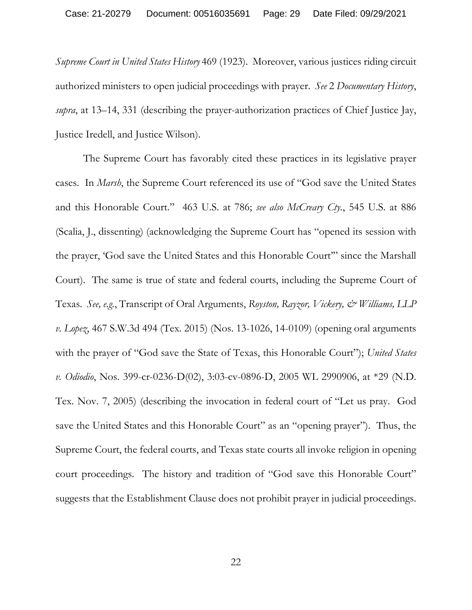*Supreme Court in United States History* 469 (1923). Moreover, various justices riding circuit authorized ministers to open judicial proceedings with prayer. *See* 2 *Documentary History*, *supra*, at 13–14, 331 (describing the prayer-authorization practices of Chief Justice Jay, Justice Iredell, and Justice Wilson).

<span id="page-28-0"></span>The Supreme Court has favorably cited these practices in its legislative prayer cases. In *Marsh*, the Supreme Court referenced its use of "God save the United States and this Honorable Court." 463 U.S. at 786; *see also McCreary Cty.*, 545 U.S. at 886 (Scalia, J., dissenting) (acknowledging the Supreme Court has "opened its session with the prayer, 'God save the United States and this Honorable Court'" since the Marshall Court). The same is true of state and federal courts, including the Supreme Court of Texas. *See, e.g.*, Transcript of Oral Arguments, *Royston, Rayzor, Vickery, & Williams, LLP v. Lopez*, 467 S.W.3d 494 (Tex. 2015) (Nos. 13-1026, 14-0109) (opening oral arguments with the prayer of "God save the State of Texas, this Honorable Court"); *United States v. Odiodio*, Nos. 399-cr-0236-D(02), 3:03-cv-0896-D, 2005 WL 2990906, at \*29 (N.D. Tex. Nov. 7, 2005) (describing the invocation in federal court of "Let us pray. God save the United States and this Honorable Court" as an "opening prayer"). Thus, the Supreme Court, the federal courts, and Texas state courts all invoke religion in opening court proceedings. The history and tradition of "God save this Honorable Court" suggests that the Establishment Clause does not prohibit prayer in judicial proceedings.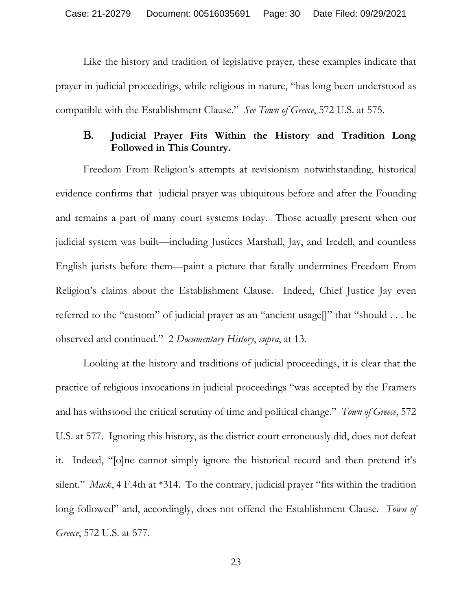Like the history and tradition of legislative prayer, these examples indicate that prayer in judicial proceedings, while religious in nature, "has long been understood as compatible with the Establishment Clause." *See Town of Greece*, 572 U.S. at 575.

# B. **Judicial Prayer Fits Within the History and Tradition Long Followed in This Country.**

Freedom From Religion's attempts at revisionism notwithstanding, historical evidence confirms that judicial prayer was ubiquitous before and after the Founding and remains a part of many court systems today. Those actually present when our judicial system was built—including Justices Marshall, Jay, and Iredell, and countless English jurists before them—paint a picture that fatally undermines Freedom From Religion's claims about the Establishment Clause. Indeed, Chief Justice Jay even referred to the "custom" of judicial prayer as an "ancient usage[]" that "should . . . be observed and continued." 2 *Documentary History*, *supra*, at 13.

Looking at the history and traditions of judicial proceedings, it is clear that the practice of religious invocations in judicial proceedings "was accepted by the Framers and has withstood the critical scrutiny of time and political change." *Town of Greece*, 572 U.S. at 577. Ignoring this history, as the district court erroneously did, does not defeat it. Indeed, "[o]ne cannot simply ignore the historical record and then pretend it's silent." *Mack*, 4 F.4th at \*314. To the contrary, judicial prayer "fits within the tradition long followed" and, accordingly, does not offend the Establishment Clause. *Town of Greece*, 572 U.S. at 577*.*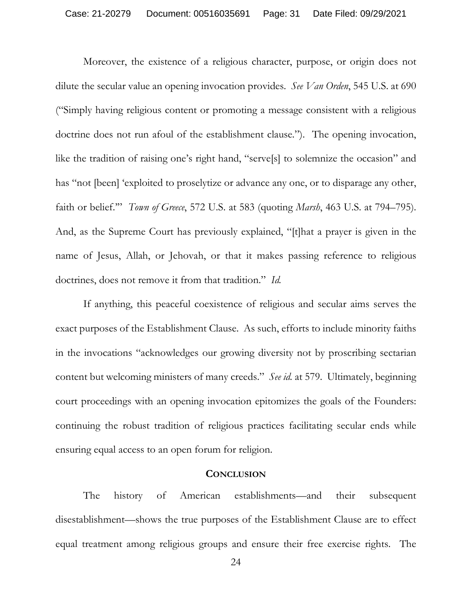Moreover, the existence of a religious character, purpose, or origin does not dilute the secular value an opening invocation provides. *See Van Orden*, 545 U.S. at 690 ("Simply having religious content or promoting a message consistent with a religious doctrine does not run afoul of the establishment clause."). The opening invocation, like the tradition of raising one's right hand, "serve[s] to solemnize the occasion" and has "not [been] 'exploited to proselytize or advance any one, or to disparage any other, faith or belief.'" *Town of Greece*, 572 U.S. at 583 (quoting *Marsh*, 463 U.S. at 794–795). And, as the Supreme Court has previously explained, "[t]hat a prayer is given in the name of Jesus, Allah, or Jehovah, or that it makes passing reference to religious doctrines, does not remove it from that tradition." *Id.* 

If anything, this peaceful coexistence of religious and secular aims serves the exact purposes of the Establishment Clause. As such, efforts to include minority faiths in the invocations "acknowledges our growing diversity not by proscribing sectarian content but welcoming ministers of many creeds." *See id.* at 579. Ultimately, beginning court proceedings with an opening invocation epitomizes the goals of the Founders: continuing the robust tradition of religious practices facilitating secular ends while ensuring equal access to an open forum for religion.

#### **CONCLUSION**

The history of American establishments—and their subsequent disestablishment—shows the true purposes of the Establishment Clause are to effect equal treatment among religious groups and ensure their free exercise rights. The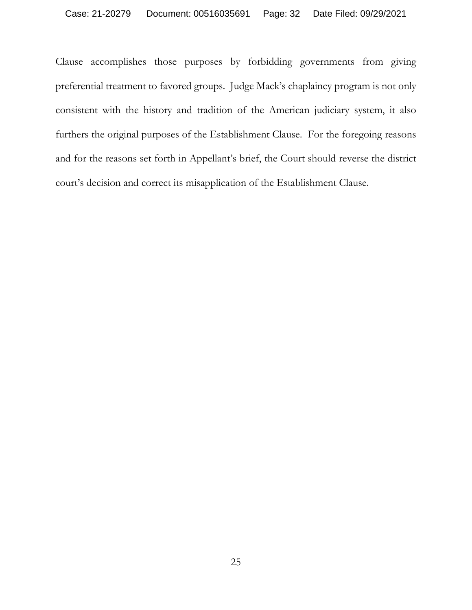Clause accomplishes those purposes by forbidding governments from giving preferential treatment to favored groups. Judge Mack's chaplaincy program is not only consistent with the history and tradition of the American judiciary system, it also furthers the original purposes of the Establishment Clause. For the foregoing reasons and for the reasons set forth in Appellant's brief, the Court should reverse the district court's decision and correct its misapplication of the Establishment Clause.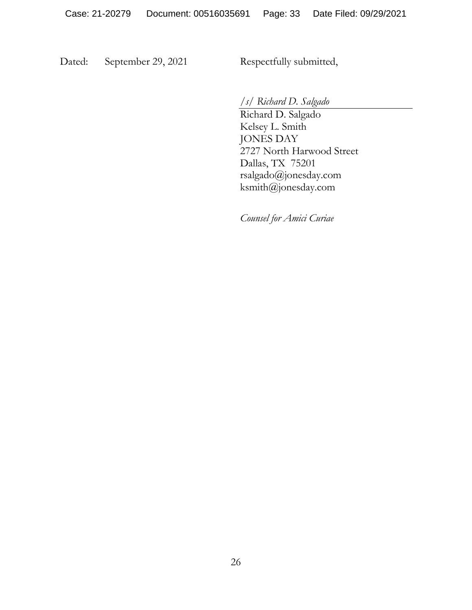Dated: September 29, 2021 Respectfully submitted,

*/s/ Richard D. Salgado*

Richard D. Salgado Kelsey L. Smith JONES DAY 2727 North Harwood Street Dallas, TX 75201 [rsalgado@jonesday.com](mailto:rsalgado@jonesday.com) ksmith@jonesday.com

*Counsel for Amici Curiae*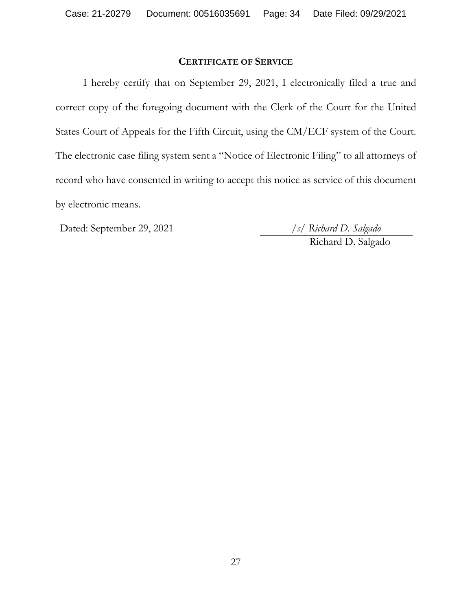#### **CERTIFICATE OF SERVICE**

I hereby certify that on September 29, 2021, I electronically filed a true and correct copy of the foregoing document with the Clerk of the Court for the United States Court of Appeals for the Fifth Circuit, using the CM/ECF system of the Court. The electronic case filing system sent a "Notice of Electronic Filing" to all attorneys of record who have consented in writing to accept this notice as service of this document by electronic means.

Dated: September 29, 2021 */s/ Richard D. Salgado*

Richard D. Salgado